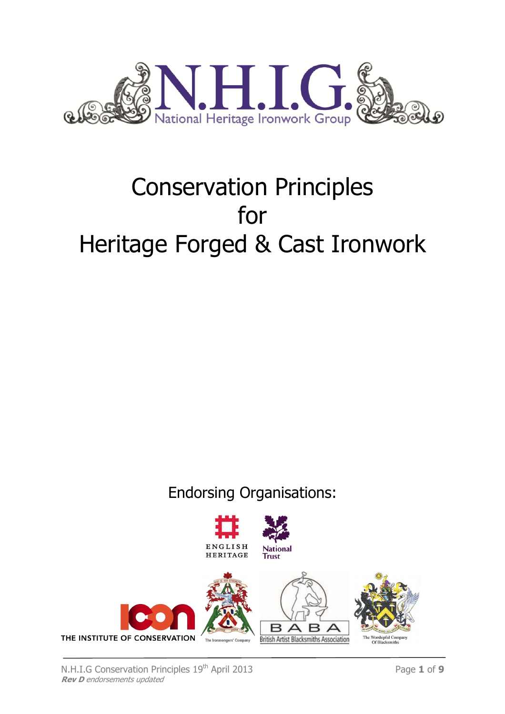

# Conservation Principles for Heritage Forged & Cast Ironwork

Endorsing Organisations:

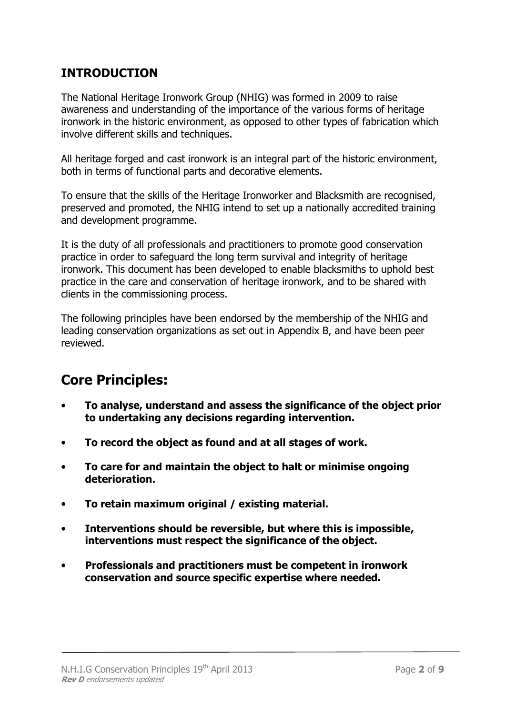# INTRODUCTION

The National Heritage Ironwork Group (NHIG) was formed in 2009 to raise awareness and understanding of the importance of the various forms of heritage ironwork in the historic environment, as opposed to other types of fabrication which involve different skills and techniques.

All heritage forged and cast ironwork is an integral part of the historic environment, both in terms of functional parts and decorative elements.

To ensure that the skills of the Heritage Ironworker and Blacksmith are recognised, preserved and promoted, the NHIG intend to set up a nationally accredited training and development programme.

It is the duty of all professionals and practitioners to promote good conservation practice in order to safeguard the long term survival and integrity of heritage ironwork. This document has been developed to enable blacksmiths to uphold best practice in the care and conservation of heritage ironwork, and to be shared with clients in the commissioning process.

The following principles have been endorsed by the membership of the NHIG and leading conservation organizations as set out in Appendix B, and have been peer reviewed.

# Core Principles:

- To analyse, understand and assess the significance of the object prior to undertaking any decisions regarding intervention.
- To record the object as found and at all stages of work.
- To care for and maintain the object to halt or minimise ongoing deterioration.
- To retain maximum original / existing material.
- Interventions should be reversible, but where this is impossible, interventions must respect the significance of the object.
- Professionals and practitioners must be competent in ironwork conservation and source specific expertise where needed.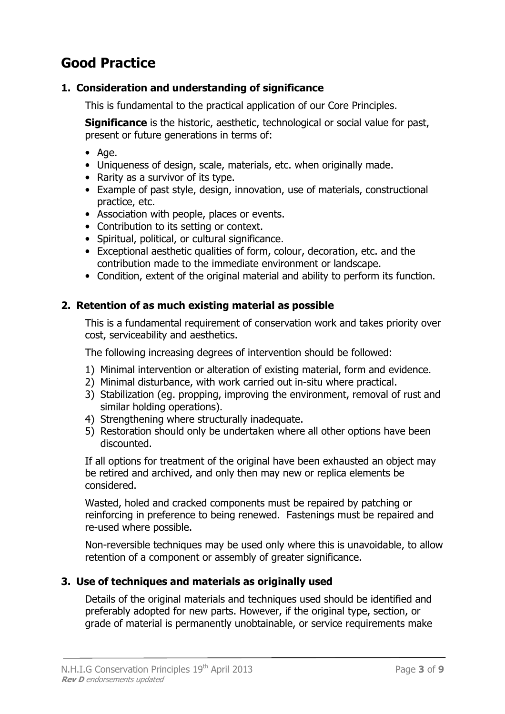# Good Practice

# 1. Consideration and understanding of significance

This is fundamental to the practical application of our Core Principles.

**Significance** is the historic, aesthetic, technological or social value for past, present or future generations in terms of:

- Age.
- Uniqueness of design, scale, materials, etc. when originally made.
- Rarity as a survivor of its type.
- Example of past style, design, innovation, use of materials, constructional practice, etc.
- Association with people, places or events.
- Contribution to its setting or context.
- Spiritual, political, or cultural significance.
- Exceptional aesthetic qualities of form, colour, decoration, etc. and the contribution made to the immediate environment or landscape.
- Condition, extent of the original material and ability to perform its function.

## 2. Retention of as much existing material as possible

This is a fundamental requirement of conservation work and takes priority over cost, serviceability and aesthetics.

The following increasing degrees of intervention should be followed:

- 1) Minimal intervention or alteration of existing material, form and evidence.
- 2) Minimal disturbance, with work carried out in-situ where practical.
- 3) Stabilization (eg. propping, improving the environment, removal of rust and similar holding operations).
- 4) Strengthening where structurally inadequate.
- 5) Restoration should only be undertaken where all other options have been discounted.

If all options for treatment of the original have been exhausted an object may be retired and archived, and only then may new or replica elements be considered.

Wasted, holed and cracked components must be repaired by patching or reinforcing in preference to being renewed. Fastenings must be repaired and re-used where possible.

Non-reversible techniques may be used only where this is unavoidable, to allow retention of a component or assembly of greater significance.

## 3. Use of techniques and materials as originally used

Details of the original materials and techniques used should be identified and preferably adopted for new parts. However, if the original type, section, or grade of material is permanently unobtainable, or service requirements make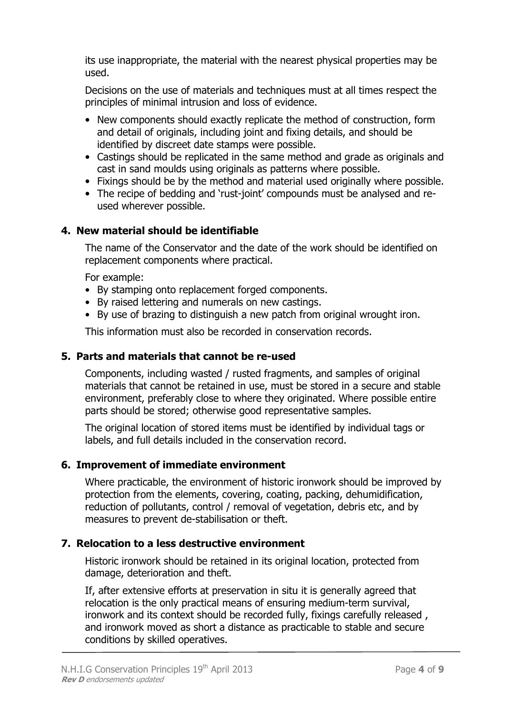its use inappropriate, the material with the nearest physical properties may be used.

Decisions on the use of materials and techniques must at all times respect the principles of minimal intrusion and loss of evidence.

- New components should exactly replicate the method of construction, form and detail of originals, including joint and fixing details, and should be identified by discreet date stamps were possible.
- Castings should be replicated in the same method and grade as originals and cast in sand moulds using originals as patterns where possible.
- Fixings should be by the method and material used originally where possible.
- The recipe of bedding and 'rust-joint' compounds must be analysed and reused wherever possible.

# 4. New material should be identifiable

The name of the Conservator and the date of the work should be identified on replacement components where practical.

For example:

- By stamping onto replacement forged components.
- By raised lettering and numerals on new castings.
- By use of brazing to distinguish a new patch from original wrought iron.

This information must also be recorded in conservation records.

#### 5. Parts and materials that cannot be re-used

Components, including wasted / rusted fragments, and samples of original materials that cannot be retained in use, must be stored in a secure and stable environment, preferably close to where they originated. Where possible entire parts should be stored; otherwise good representative samples.

The original location of stored items must be identified by individual tags or labels, and full details included in the conservation record.

## 6. Improvement of immediate environment

Where practicable, the environment of historic ironwork should be improved by protection from the elements, covering, coating, packing, dehumidification, reduction of pollutants, control / removal of vegetation, debris etc, and by measures to prevent de-stabilisation or theft.

## 7. Relocation to a less destructive environment

Historic ironwork should be retained in its original location, protected from damage, deterioration and theft.

If, after extensive efforts at preservation in situ it is generally agreed that relocation is the only practical means of ensuring medium-term survival, ironwork and its context should be recorded fully, fixings carefully released , and ironwork moved as short a distance as practicable to stable and secure conditions by skilled operatives.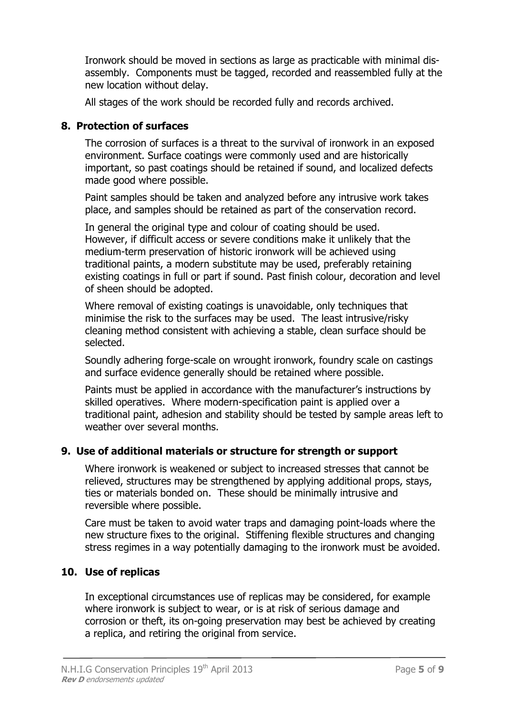Ironwork should be moved in sections as large as practicable with minimal disassembly. Components must be tagged, recorded and reassembled fully at the new location without delay.

All stages of the work should be recorded fully and records archived.

# 8. Protection of surfaces

The corrosion of surfaces is a threat to the survival of ironwork in an exposed environment. Surface coatings were commonly used and are historically important, so past coatings should be retained if sound, and localized defects made good where possible.

Paint samples should be taken and analyzed before any intrusive work takes place, and samples should be retained as part of the conservation record.

In general the original type and colour of coating should be used. However, if difficult access or severe conditions make it unlikely that the medium-term preservation of historic ironwork will be achieved using traditional paints, a modern substitute may be used, preferably retaining existing coatings in full or part if sound. Past finish colour, decoration and level of sheen should be adopted.

Where removal of existing coatings is unavoidable, only techniques that minimise the risk to the surfaces may be used. The least intrusive/risky cleaning method consistent with achieving a stable, clean surface should be selected.

Soundly adhering forge-scale on wrought ironwork, foundry scale on castings and surface evidence generally should be retained where possible.

Paints must be applied in accordance with the manufacturer's instructions by skilled operatives. Where modern-specification paint is applied over a traditional paint, adhesion and stability should be tested by sample areas left to weather over several months.

# 9. Use of additional materials or structure for strength or support

Where ironwork is weakened or subject to increased stresses that cannot be relieved, structures may be strengthened by applying additional props, stays, ties or materials bonded on. These should be minimally intrusive and reversible where possible.

Care must be taken to avoid water traps and damaging point-loads where the new structure fixes to the original. Stiffening flexible structures and changing stress regimes in a way potentially damaging to the ironwork must be avoided.

# 10. Use of replicas

In exceptional circumstances use of replicas may be considered, for example where ironwork is subject to wear, or is at risk of serious damage and corrosion or theft, its on-going preservation may best be achieved by creating a replica, and retiring the original from service.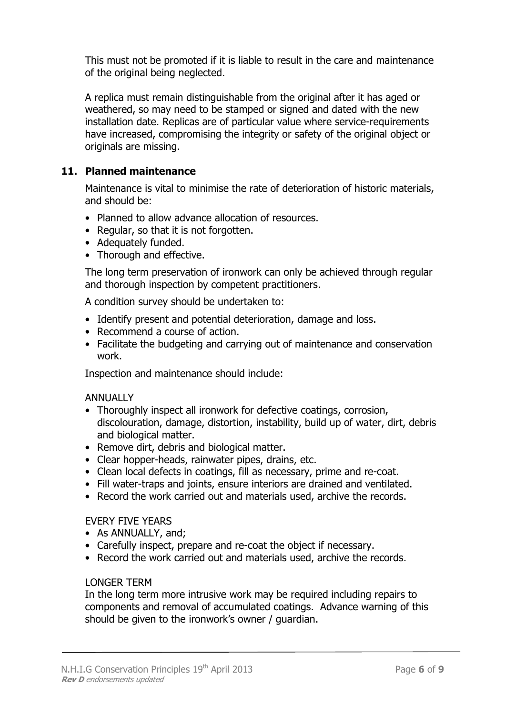This must not be promoted if it is liable to result in the care and maintenance of the original being neglected.

A replica must remain distinguishable from the original after it has aged or weathered, so may need to be stamped or signed and dated with the new installation date. Replicas are of particular value where service-requirements have increased, compromising the integrity or safety of the original object or originals are missing.

#### 11. Planned maintenance

Maintenance is vital to minimise the rate of deterioration of historic materials, and should be:

- Planned to allow advance allocation of resources.
- Regular, so that it is not forgotten.
- Adequately funded.
- Thorough and effective.

The long term preservation of ironwork can only be achieved through regular and thorough inspection by competent practitioners.

A condition survey should be undertaken to:

- Identify present and potential deterioration, damage and loss.
- Recommend a course of action.
- Facilitate the budgeting and carrying out of maintenance and conservation work.

Inspection and maintenance should include:

#### **ANNUALLY**

- Thoroughly inspect all ironwork for defective coatings, corrosion, discolouration, damage, distortion, instability, build up of water, dirt, debris and biological matter.
- Remove dirt, debris and biological matter.
- Clear hopper-heads, rainwater pipes, drains, etc.
- Clean local defects in coatings, fill as necessary, prime and re-coat.
- Fill water-traps and joints, ensure interiors are drained and ventilated.
- Record the work carried out and materials used, archive the records.

#### EVERY FIVE YEARS

- As ANNUALLY, and:
- Carefully inspect, prepare and re-coat the object if necessary.
- Record the work carried out and materials used, archive the records.

#### LONGER TERM

In the long term more intrusive work may be required including repairs to components and removal of accumulated coatings. Advance warning of this should be given to the ironwork's owner / guardian.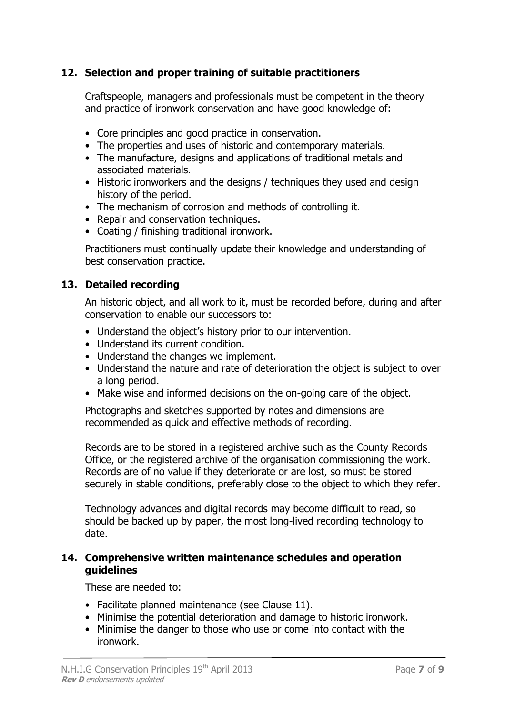# 12. Selection and proper training of suitable practitioners

Craftspeople, managers and professionals must be competent in the theory and practice of ironwork conservation and have good knowledge of:

- Core principles and good practice in conservation.
- The properties and uses of historic and contemporary materials.
- The manufacture, designs and applications of traditional metals and associated materials.
- Historic ironworkers and the designs / techniques they used and design history of the period.
- The mechanism of corrosion and methods of controlling it.
- Repair and conservation techniques.
- Coating / finishing traditional ironwork.

Practitioners must continually update their knowledge and understanding of best conservation practice.

#### 13. Detailed recording

An historic object, and all work to it, must be recorded before, during and after conservation to enable our successors to:

- Understand the object's history prior to our intervention.
- Understand its current condition.
- Understand the changes we implement.
- Understand the nature and rate of deterioration the object is subject to over a long period.
- Make wise and informed decisions on the on-going care of the object.

Photographs and sketches supported by notes and dimensions are recommended as quick and effective methods of recording.

Records are to be stored in a registered archive such as the County Records Office, or the registered archive of the organisation commissioning the work. Records are of no value if they deteriorate or are lost, so must be stored securely in stable conditions, preferably close to the object to which they refer.

Technology advances and digital records may become difficult to read, so should be backed up by paper, the most long-lived recording technology to date.

#### 14. Comprehensive written maintenance schedules and operation guidelines

These are needed to:

- Facilitate planned maintenance (see Clause 11).
- Minimise the potential deterioration and damage to historic ironwork.
- Minimise the danger to those who use or come into contact with the ironwork.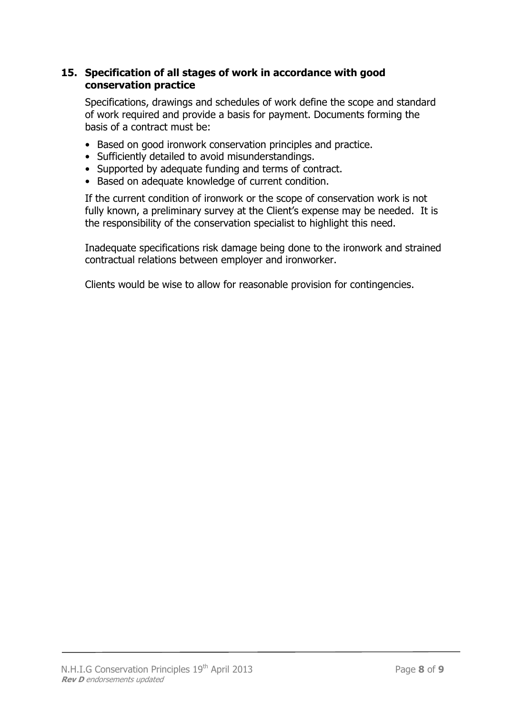# 15. Specification of all stages of work in accordance with good conservation practice

Specifications, drawings and schedules of work define the scope and standard of work required and provide a basis for payment. Documents forming the basis of a contract must be:

- Based on good ironwork conservation principles and practice.
- Sufficiently detailed to avoid misunderstandings.
- Supported by adequate funding and terms of contract.
- Based on adequate knowledge of current condition.

If the current condition of ironwork or the scope of conservation work is not fully known, a preliminary survey at the Client's expense may be needed. It is the responsibility of the conservation specialist to highlight this need.

Inadequate specifications risk damage being done to the ironwork and strained contractual relations between employer and ironworker.

Clients would be wise to allow for reasonable provision for contingencies.